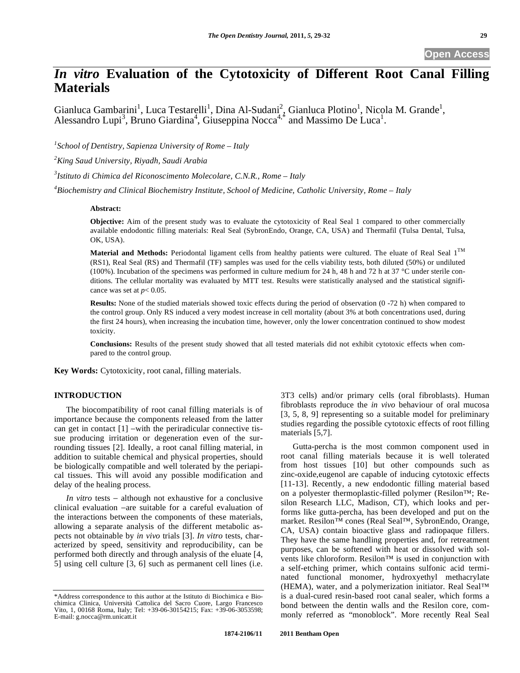# *In vitro* **Evaluation of the Cytotoxicity of Different Root Canal Filling Materials**

Gianluca Gambarini<sup>1</sup>, Luca Testarelli<sup>1</sup>, Dina Al-Sudani<sup>2</sup>, Gianluca Plotino<sup>1</sup>, Nicola M. Grande<sup>1</sup>, Alessandro Lupi<sup>3</sup>, Bruno Giardina<sup>4</sup>, Giuseppina Nocca<sup>4,\*</sup> and Massimo De Luca<sup>1</sup>.

*1 School of Dentistry, Sapienza University of Rome – Italy* 

*2 King Saud University, Riyadh, Saudi Arabia* 

*3 Istituto di Chimica del Riconoscimento Molecolare, C.N.R., Rome – Italy* 

*4 Biochemistry and Clinical Biochemistry Institute, School of Medicine, Catholic University, Rome – Italy* 

## **Abstract:**

**Objective:** Aim of the present study was to evaluate the cytotoxicity of Real Seal 1 compared to other commercially available endodontic filling materials: Real Seal (SybronEndo, Orange, CA, USA) and Thermafil (Tulsa Dental, Tulsa, OK, USA).

Material and Methods: Periodontal ligament cells from healthy patients were cultured. The eluate of Real Seal 1<sup>TM</sup> (RS1), Real Seal (RS) and Thermafil (TF) samples was used for the cells viability tests, both diluted (50%) or undiluted (100%). Incubation of the specimens was performed in culture medium for 24 h, 48 h and 72 h at 37 °C under sterile conditions. The cellular mortality was evaluated by MTT test. Results were statistically analysed and the statistical significance was set at  $p < 0.05$ .

**Results:** None of the studied materials showed toxic effects during the period of observation (0 -72 h) when compared to the control group. Only RS induced a very modest increase in cell mortality (about 3% at both concentrations used, during the first 24 hours), when increasing the incubation time, however, only the lower concentration continued to show modest toxicity.

**Conclusions:** Results of the present study showed that all tested materials did not exhibit cytotoxic effects when compared to the control group.

**Key Words:** Cytotoxicity, root canal, filling materials.

## **INTRODUCTION**

The biocompatibility of root canal filling materials is of importance because the components released from the latter can get in contact  $[1]$  -with the periradicular connective tissue producing irritation or degeneration even of the surrounding tissues [2]. Ideally, a root canal filling material, in addition to suitable chemical and physical properties, should be biologically compatible and well tolerated by the periapical tissues. This will avoid any possible modification and delay of the healing process.

*In vitro* tests  $-$  although not exhaustive for a conclusive clinical evaluation -are suitable for a careful evaluation of the interactions between the components of these materials, allowing a separate analysis of the different metabolic aspects not obtainable by *in vivo* trials [3]. *In vitro* tests, characterized by speed, sensitivity and reproducibility, can be performed both directly and through analysis of the eluate [4, 5] using cell culture [3, 6] such as permanent cell lines (i.e.

3T3 cells) and/or primary cells (oral fibroblasts). Human fibroblasts reproduce the *in vivo* behaviour of oral mucosa [3, 5, 8, 9] representing so a suitable model for preliminary studies regarding the possible cytotoxic effects of root filling materials [5,7].

Gutta-percha is the most common component used in root canal filling materials because it is well tolerated from host tissues [10] but other compounds such as zinc-oxide,eugenol are capable of inducing cytotoxic effects [11-13]. Recently, a new endodontic filling material based on a polyester thermoplastic-filled polymer (Resilon™; Resilon Research LLC, Madison, CT), which looks and performs like gutta-percha, has been developed and put on the market. Resilon™ cones (Real Seal™, SybronEndo, Orange, CA, USA) contain bioactive glass and radiopaque fillers. They have the same handling properties and, for retreatment purposes, can be softened with heat or dissolved with solvents like chloroform. Resilon™ is used in conjunction with a self-etching primer, which contains sulfonic acid terminated functional monomer, hydroxyethyl methacrylate (HEMA), water, and a polymerization initiator. Real Seal™ is a dual-cured resin-based root canal sealer, which forms a bond between the dentin walls and the Resilon core, commonly referred as "monoblock". More recently Real Seal

<sup>\*</sup>Address correspondence to this author at the Istituto di Biochimica e Biochimica Clinica, Università Cattolica del Sacro Cuore, Largo Francesco Vito, 1, 00168 Roma, Italy; Tel: +39-06-30154215; Fax: +39-06-3053598; E-mail: g.nocca@rm.unicatt.it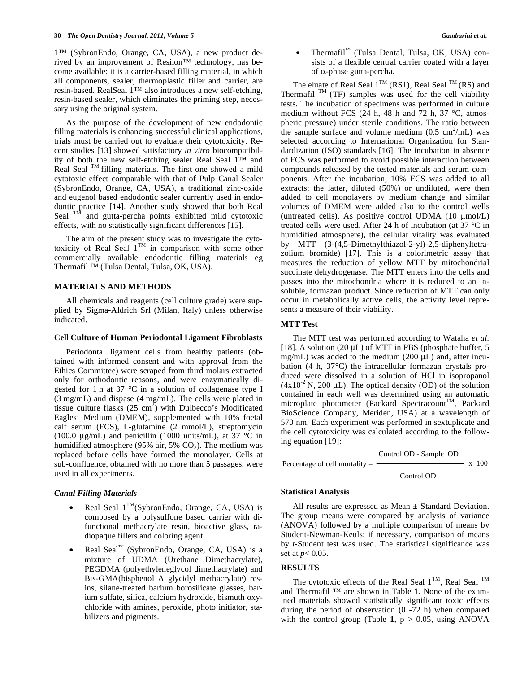1™ (SybronEndo, Orange, CA, USA), a new product derived by an improvement of Resilon™ technology, has become available: it is a carrier-based filling material, in which all components, sealer, thermoplastic filler and carrier, are resin-based. RealSeal 1™ also introduces a new self-etching, resin-based sealer, which eliminates the priming step, necessary using the original system.

As the purpose of the development of new endodontic filling materials is enhancing successful clinical applications, trials must be carried out to evaluate their cytotoxicity. Recent studies [13] showed satisfactory *in vitro* biocompatibility of both the new self-etching sealer Real Seal 1™ and Real Seal <sup>TM</sup> filling materials. The first one showed a mild cytotoxic effect comparable with that of Pulp Canal Sealer (SybronEndo, Orange, CA, USA), a traditional zinc-oxide and eugenol based endodontic sealer currently used in endodontic practice [14]. Another study showed that both Real Seal <sup>TM</sup> and gutta-percha points exhibited mild cytotoxic effects, with no statistically significant differences [15].

The aim of the present study was to investigate the cytotoxicity of Real Seal  $1^{TM}$  in comparison with some other commercially available endodontic filling materials eg Thermafil ™ (Tulsa Dental, Tulsa, OK, USA).

## **MATERIALS AND METHODS**

All chemicals and reagents (cell culture grade) were supplied by Sigma-Aldrich Srl (Milan, Italy) unless otherwise indicated.

#### **Cell Culture of Human Periodontal Ligament Fibroblasts**

Periodontal ligament cells from healthy patients (obtained with informed consent and with approval from the Ethics Committee) were scraped from third molars extracted only for orthodontic reasons, and were enzymatically digested for 1 h at 37 °C in a solution of collagenase type I (3 mg/mL) and dispase (4 mg/mL). The cells were plated in tissue culture flasks  $(25 \text{ cm}^2)$  with Dulbecco's Modificated Eagles' Medium (DMEM), supplemented with 10% foetal calf serum (FCS), L-glutamine (2 mmol/L), streptomycin (100.0  $\mu$ g/mL) and penicillin (1000 units/mL), at 37 °C in humidified atmosphere (95% air, 5%  $CO<sub>2</sub>$ ). The medium was replaced before cells have formed the monolayer. Cells at sub-confluence, obtained with no more than 5 passages, were used in all experiments.

## *Canal Filling Materials*

- Real Seal  $1^{TM}$ (SybronEndo, Orange, CA, USA) is composed by a polysulfone based carrier with difunctional methacrylate resin, bioactive glass, radiopaque fillers and coloring agent.
- Real Seal™ (SybronEndo, Orange, CA, USA) is a mixture of UDMA (Urethane Dimethacrylate), PEGDMA (polyethyleneglycol dimethacrylate) and Bis-GMA(bisphenol A glycidyl methacrylate) resins, silane-treated barium borosilicate glasses, barium sulfate, silica, calcium hydroxide, bismuth oxychloride with amines, peroxide, photo initiator, stabilizers and pigments.

Thermafil<sup>™</sup> (Tulsa Dental, Tulsa, OK, USA) consists of a flexible central carrier coated with a layer of  $\alpha$ -phase gutta-percha.

The eluate of Real Seal  $1^{TM}$  (RS1), Real Seal  $^{TM}$  (RS) and Thermafil  $^{TM}$  (TF) samples was used for the cell viability tests. The incubation of specimens was performed in culture medium without FCS (24 h, 48 h and 72 h, 37 °C, atmospheric pressure) under sterile conditions. The ratio between the sample surface and volume medium  $(0.5 \text{ cm}^2/\text{mL})$  was selected according to International Organization for Standardization (ISO) standards [16]. The incubation in absence of FCS was performed to avoid possible interaction between compounds released by the tested materials and serum components. After the incubation, 10% FCS was added to all extracts; the latter, diluted (50%) or undiluted, were then added to cell monolayers by medium change and similar volumes of DMEM were added also to the control wells (untreated cells). As positive control UDMA (10 mol/L) treated cells were used. After 24 h of incubation (at 37 °C in humidified atmosphere), the cellular vitality was evaluated by MTT (3-(4,5-Dimethylthiazol-2-yl)-2,5-diphenyltetrazolium bromide) [17]. This is a colorimetric assay that measures the reduction of yellow MTT by mitochondrial succinate dehydrogenase. The MTT enters into the cells and passes into the mitochondria where it is reduced to an insoluble, formazan product. Since reduction of MTT can only occur in metabolically active cells, the activity level represents a measure of their viability.

#### **MTT Test**

The MTT test was performed according to Wataha *et al.*  [18]. A solution (20  $\mu$ L) of MTT in PBS (phosphate buffer, 5 mg/mL) was added to the medium (200 μL) and, after incubation (4 h, 37°C) the intracellular formazan crystals produced were dissolved in a solution of HCl in isopropanol  $(4x10<sup>-2</sup> N, 200 \mu L)$ . The optical density (OD) of the solution contained in each well was determined using an automatic microplate photometer (Packard Spectracount<sup>TM</sup>, Packard BioScience Company, Meriden, USA) at a wavelength of 570 nm. Each experiment was performed in sextuplicate and the cell cytotoxicity was calculated according to the following equation [19]:

Percentage of cell mortality = Control OD - Sample OD

Control OD

x 100

## **Statistical Analysis**

All results are expressed as Mean  $\pm$  Standard Deviation. The group means were compared by analysis of variance (ANOVA) followed by a multiple comparison of means by Student-Newman-Keuls; if necessary, comparison of means by *t-*Student test was used. The statistical significance was set at *p*< 0.05.

## **RESULTS**

The cytotoxic effects of the Real Seal  $1^{TM}$ , Real Seal  $TM$ and Thermafil ™ are shown in Table **1**. None of the examined materials showed statistically significant toxic effects during the period of observation (0 -72 h) when compared with the control group (Table 1,  $p > 0.05$ , using ANOVA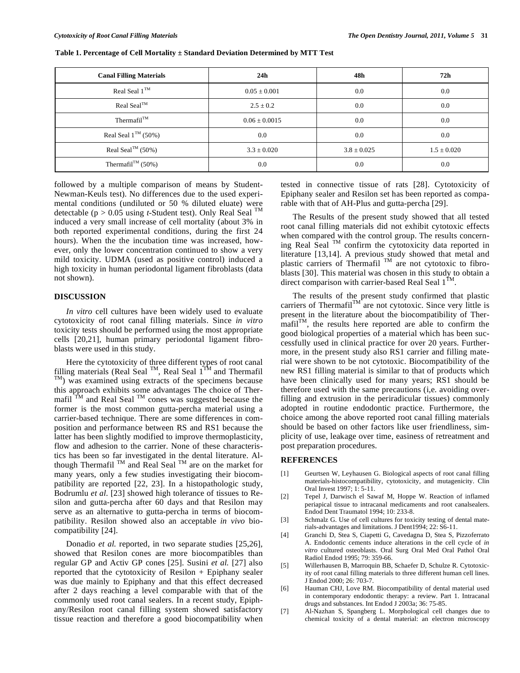| <b>Canal Filling Materials</b> | 24 <sub>h</sub>   | 48h             | 72h             |
|--------------------------------|-------------------|-----------------|-----------------|
| Real Seal $1^{TM}$             | $0.05 \pm 0.001$  | 0.0             | 0.0             |
| $Real Seal^{TM}$               | $2.5 \pm 0.2$     | 0.0             | 0.0             |
| Thermafil $T^M$                | $0.06 \pm 0.0015$ | 0.0             | 0.0             |
| Real Seal $1^{TM}$ (50%)       | 0.0               | 0.0             | 0.0             |
| Real Seal <sup>TM</sup> (50%)  | $3.3 \pm 0.020$   | $3.8 \pm 0.025$ | $1.5 \pm 0.020$ |
| Thermafil <sup>TM</sup> (50%)  | 0.0               | 0.0             | 0.0             |

**Table 1. Percentage of Cell Mortality ± Standard Deviation Determined by MTT Test** 

followed by a multiple comparison of means by Student-Newman-Keuls test). No differences due to the used experimental conditions (undiluted or 50 % diluted eluate) were detectable (p > 0.05 using *t-*Student test). Only Real Seal TM induced a very small increase of cell mortality (about 3% in both reported experimental conditions, during the first 24 hours). When the the incubation time was increased, however, only the lower concentration continued to show a very mild toxicity. UDMA (used as positive control) induced a high toxicity in human periodontal ligament fibroblasts (data not shown).

## **DISCUSSION**

*In vitro* cell cultures have been widely used to evaluate cytotoxicity of root canal filling materials. Since *in vitro*  toxicity tests should be performed using the most appropriate cells [20,21], human primary periodontal ligament fibroblasts were used in this study.

Here the cytotoxicity of three different types of root canal filling materials (Real Seal <sup>TM</sup>, Real Seal 1<sup>TM</sup> and Thermafil  $T<sup>M</sup>$ ) was examined using extracts of the specimens because this approach exhibits some advantages The choice of Thermafil  $T^{M}$  and Real Seal  $T^{M}$  cones was suggested because the former is the most common gutta-percha material using a carrier-based technique. There are some differences in composition and performance between RS and RS1 because the latter has been slightly modified to improve thermoplasticity, flow and adhesion to the carrier. None of these characteristics has been so far investigated in the dental literature. Although Thermafil  $^{TM}$  and Real Seal  $^{TM}$  are on the market for many years, only a few studies investigating their biocompatibility are reported [22, 23]. In a histopathologic study, Bodrumlu *et al.* [23] showed high tolerance of tissues to Resilon and gutta-percha after 60 days and that Resilon may serve as an alternative to gutta-percha in terms of biocompatibility. Resilon showed also an acceptable *in vivo* biocompatibility [24].

Donadio *et al.* reported, in two separate studies [25,26], showed that Resilon cones are more biocompatibles than regular GP and Activ GP cones [25]. Susini *et al.* [27] also reported that the cytotoxicity of Resilon + Epiphany sealer was due mainly to Epiphany and that this effect decreased after 2 days reaching a level comparable with that of the commonly used root canal sealers. In a recent study, Epiphany/Resilon root canal filling system showed satisfactory tissue reaction and therefore a good biocompatibility when tested in connective tissue of rats [28]. Cytotoxicity of Epiphany sealer and Resilon set has been reported as comparable with that of AH-Plus and gutta-percha [29].

The Results of the present study showed that all tested root canal filling materials did not exhibit cytotoxic effects when compared with the control group. The results concerning Real Seal TM confirm the cytotoxicity data reported in literature [13,14]. A previous study showed that metal and plastic carriers of Thermafil  $M$  are not cytotoxic to fibroblasts [30]. This material was chosen in this study to obtain a direct comparison with carrier-based Real Seal  $1^{TM}$ .

The results of the present study confirmed that plastic carriers of Thermafil<sup>TM</sup> are not cytotoxic. Since very little is present in the literature about the biocompatibility of Ther $mafil<sup>TM</sup>$ , the results here reported are able to confirm the good biological properties of a material which has been successfully used in clinical practice for over 20 years. Furthermore, in the present study also RS1 carrier and filling material were shown to be not cytotoxic. Biocompatibility of the new RS1 filling material is similar to that of products which have been clinically used for many years; RS1 should be therefore used with the same precautions (i,e. avoiding overfilling and extrusion in the periradicular tissues) commonly adopted in routine endodontic practice. Furthermore, the choice among the above reported root canal filling materials should be based on other factors like user friendliness, simplicity of use, leakage over time, easiness of retreatment and post preparation procedures.

## **REFERENCES**

- [1] Geurtsen W, Leyhausen G. Biological aspects of root canal filling materials-histocompatibility, cytotoxicity, and mutagenicity. Clin Oral Invest 1997; 1: 5-11.
- [2] Tepel J, Darwisch el Sawaf M, Hoppe W. Reaction of inflamed periapical tissue to intracanal medicaments and root canalsealers. Endod Dent Traumatol 1994; 10: 233-8.
- [3] Schmalz G. Use of cell cultures for toxicity testing of dental materials-advantages and limitations. J Dent1994; 22: S6-11.
- [4] Granchi D, Stea S, Ciapetti G, Cavedagna D, Stea S, Pizzoferrato A. Endodontic cements induce alterations in the cell cycle of *in vitro* cultured osteoblasts. Oral Surg Oral Med Oral Pathol Oral Radiol Endod 1995; 79: 359-66.
- [5] Willerhausen B, Marroquin BB, Schaefer D, Schulze R. Cytotoxicity of root canal filling materials to three different human cell lines. J Endod 2000; 26: 703-7.
- [6] Hauman CHJ, Love RM. Biocompatibility of dental material used in contemporary endodontic therapy: a review. Part 1. Intracanal drugs and substances. Int Endod J 2003a; 36: 75-85.
- [7] Al-Nazhan S, Spangberg L. Morphological cell changes due to chemical toxicity of a dental material: an electron microscopy